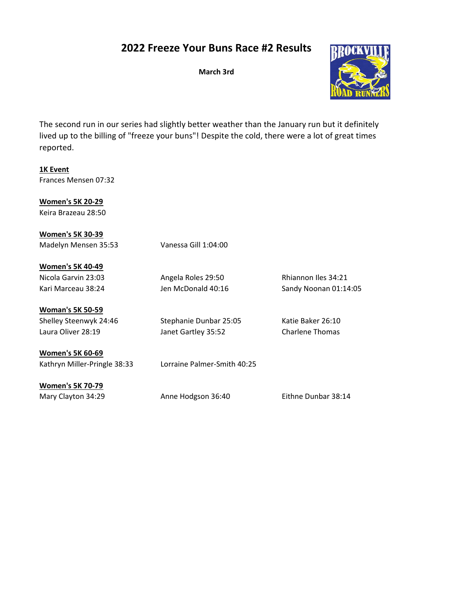## 2022 Freeze Your Buns Race #2 Results

March 3rd



The second run in our series had slightly better weather than the January run but it definitely lived up to the billing of "freeze your buns"! Despite the cold, there were a lot of great times reported.

1K Event Frances Mensen 07:32

Women's 5K 20-29 Keira Brazeau 28:50

Women's 5K 30-39 Madelyn Mensen 35:53 Vanessa Gill 1:04:00

Women's 5K 40-49 Nicola Garvin 23:03 Angela Roles 29:50 Rhiannon Iles 34:21 Kari Marceau 38:24 Jen McDonald 40:16 Sandy Noonan 01:14:05

Woman's 5K 50-59 Shelley Steenwyk 24:46 Stephanie Dunbar 25:05 Katie Baker 26:10

Laura Oliver 28:19 Janet Gartley 35:52 Charlene Thomas

Women's 5K 60-69 Kathryn Miller-Pringle 38:33 Lorraine Palmer-Smith 40:25

Women's 5K 70-79

Mary Clayton 34:29 Anne Hodgson 36:40 Eithne Dunbar 38:14